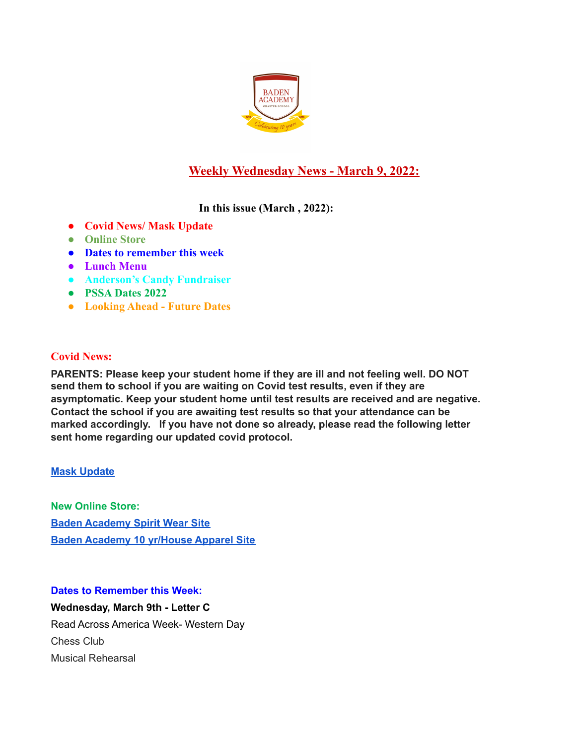

# **Weekly Wednesday News - March 9, 2022:**

**In this issue (March , 2022):**

- **● Covid News/ Mask Update**
- **● Online Store**
- **● Dates to remember this week**
- **● Lunch Menu**
- **● Anderson's Candy Fundraiser**
- **● PSSA Dates 2022**
- **● Looking Ahead Future Dates**

# **Covid News:**

**PARENTS: Please keep your student home if they are ill and not feeling well. DO NOT send them to school if you are waiting on Covid test results, even if they are asymptomatic. Keep your student home until test results are received and are negative. Contact the school if you are awaiting test results so that your attendance can be marked accordingly. If you have not done so already, please read the following letter sent home regarding our updated covid protocol.**

## **Mask [Update](https://docs.google.com/document/d/1HXZ_taA93HSaUtIpy-WUxU-gH9OkUVmKKIgqFZDMwc8/edit?usp=sharing)**

**New Online Store: Baden [Academy](https://evillizard.com/collections/baden-academy-spirit-wear) Spirit Wear Site Baden [Academy](https://evillizard.com/collections/baden-academy) 10 yr/House Apparel Site**

## **Dates to Remember this Week:**

**Wednesday, March 9th - Letter C** Read Across America Week- Western Day Chess Club Musical Rehearsal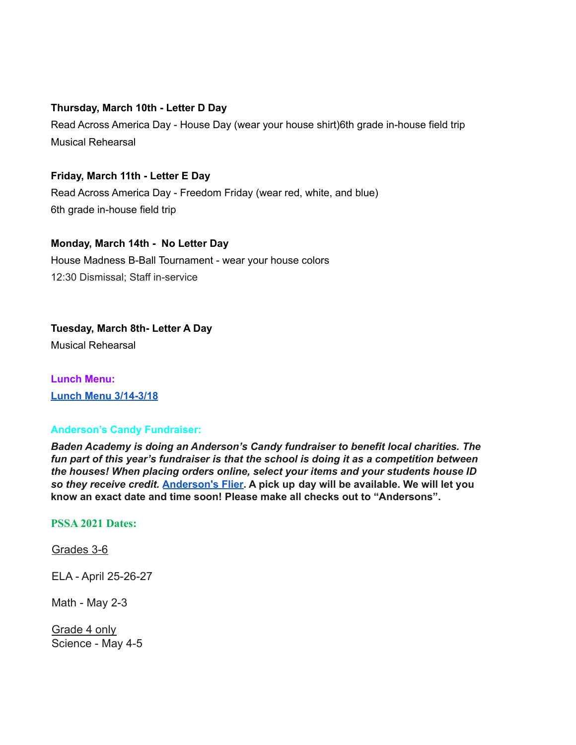#### **Thursday, March 10th - Letter D Day**

Read Across America Day - House Day (wear your house shirt)6th grade in-house field trip Musical Rehearsal

# **Friday, March 11th - Letter E Day**

Read Across America Day - Freedom Friday (wear red, white, and blue) 6th grade in-house field trip

### **Monday, March 14th - No Letter Day**

House Madness B-Ball Tournament - wear your house colors 12:30 Dismissal; Staff in-service

# **Tuesday, March 8th- Letter A Day**

Musical Rehearsal

**Lunch Menu: Lunch Menu [3/14-3/18](https://docs.google.com/document/d/1pSnMPEy36-6AgYSenPtXnIL9l7R9v12riUAUbtndRwE/edit?usp=sharing)**

#### **Anderson's Candy Fundraiser:**

*Baden Academy is doing an Anderson's Candy fundraiser to benefit local charities. The fun part of this year's fundraiser is that the school is doing it as a competition between the houses! When placing orders online, select your items and your students house ID so they receive credit.* **[Anderson's](https://docs.google.com/document/d/1yvc2myMqrRNhyYpu0DteMPuBOEUma1BV_21eAD7ljDk/edit?usp=sharing) Flier. A pick up day will be available. We will let you know an exact date and time soon! Please make all checks out to "Andersons".**

#### **PSSA 2021 Dates:**

Grades 3-6

ELA - April 25-26-27

Math - May 2-3

Grade 4 only Science - May 4-5